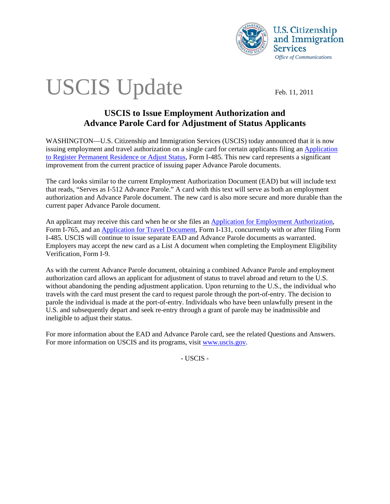

# USCIS Update Feb. 11, 2011

## **USCIS to Issue Employment Authorization and Advance Parole Card for Adjustment of Status Applicants**

WASHINGTON—U.S. Citizenship and Immigration Services (USCIS) today announced that it is now issuing employment and travel authorization on a single card for certain applicants filing an [Application](http://www.uscis.gov/portal/site/uscis/menuitem.5af9bb95919f35e66f614176543f6d1a/?vgnextoid=3faf2c1a6855d010VgnVCM10000048f3d6a1RCRD&vgnextchannel=db029c7755cb9010VgnVCM10000045f3d6a1RCRD)  [to Register Permanent Residence or Adjust Status](http://www.uscis.gov/portal/site/uscis/menuitem.5af9bb95919f35e66f614176543f6d1a/?vgnextoid=3faf2c1a6855d010VgnVCM10000048f3d6a1RCRD&vgnextchannel=db029c7755cb9010VgnVCM10000045f3d6a1RCRD), Form I-485. This new card represents a significant improvement from the current practice of issuing paper Advance Parole documents.

The card looks similar to the current Employment Authorization Document (EAD) but will include text that reads, "Serves as I-512 Advance Parole." A card with this text will serve as both an employment authorization and Advance Parole document. The new card is also more secure and more durable than the current paper Advance Parole document.

An applicant may receive this card when he or she files an [Application for Employment Authorization,](http://www.uscis.gov/portal/site/uscis/menuitem.5af9bb95919f35e66f614176543f6d1a/?vgnextoid=73ddd59cb7a5d010VgnVCM10000048f3d6a1RCRD&vgnextchannel=dd346d26d17df110VgnVCM1000004718190aRCRD) Form I-765, and an [Application for Travel Document](http://www.uscis.gov/portal/site/uscis/menuitem.5af9bb95919f35e66f614176543f6d1a/?vgnextoid=b11747a55773d010VgnVCM10000048f3d6a1RCRD&vgnextchannel=db029c7755cb9010VgnVCM10000045f3d6a1RCRD), Form I-131, concurrently with or after filing Form I-485. USCIS will continue to issue separate EAD and Advance Parole documents as warranted. Employers may accept the new card as a List A document when completing the Employment Eligibility Verification, Form I-9.

As with the current Advance Parole document, obtaining a combined Advance Parole and employment authorization card allows an applicant for adjustment of status to travel abroad and return to the U.S. without abandoning the pending adjustment application. Upon returning to the U.S., the individual who travels with the card must present the card to request parole through the port-of-entry. The decision to parole the individual is made at the port-of-entry. Individuals who have been unlawfully present in the U.S. and subsequently depart and seek re-entry through a grant of parole may be inadmissible and ineligible to adjust their status.

For more information about the EAD and Advance Parole card, see the related Questions and Answers. For more information on USCIS and its programs, visit [www.uscis.gov](http://www.uscis.gov/).

- USCIS -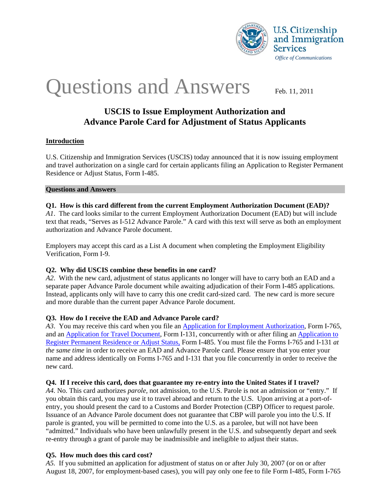

## Questions and Answers Feb. 11, 2011

## **USCIS to Issue Employment Authorization and Advance Parole Card for Adjustment of Status Applicants**

#### **Introduction**

U.S. Citizenship and Immigration Services (USCIS) today announced that it is now issuing employment and travel authorization on a single card for certain applicants filing an Application to Register Permanent Residence or Adjust Status, Form I-485.

#### **Questions and Answers**

#### **Q1. How is this card different from the current Employment Authorization Document (EAD)?**

*A1*. The card looks similar to the current Employment Authorization Document (EAD) but will include text that reads, "Serves as I-512 Advance Parole." A card with this text will serve as both an employment authorization and Advance Parole document.

Employers may accept this card as a List A document when completing the Employment Eligibility Verification, Form I-9.

#### **Q2. Why did USCIS combine these benefits in one card?**

*A2*. With the new card, adjustment of status applicants no longer will have to carry both an EAD and a separate paper Advance Parole document while awaiting adjudication of their Form I-485 applications. Instead, applicants only will have to carry this one credit card-sized card. The new card is more secure and more durable than the current paper Advance Parole document.

#### **Q3. How do I receive the EAD and Advance Parole card?**

*A3*. You may receive this card when you file an [Application for Employment Authorization,](http://www.uscis.gov/portal/site/uscis/menuitem.5af9bb95919f35e66f614176543f6d1a/?vgnextoid=73ddd59cb7a5d010VgnVCM10000048f3d6a1RCRD&vgnextchannel=dd346d26d17df110VgnVCM1000004718190aRCRD) Form I-765, and an [Application for Travel Document](http://www.uscis.gov/portal/site/uscis/menuitem.5af9bb95919f35e66f614176543f6d1a/?vgnextoid=b11747a55773d010VgnVCM10000048f3d6a1RCRD&vgnextchannel=db029c7755cb9010VgnVCM10000045f3d6a1RCRD), Form I-131, concurrently with or after filing an [Application to](http://www.uscis.gov/portal/site/uscis/menuitem.5af9bb95919f35e66f614176543f6d1a/?vgnextoid=3faf2c1a6855d010VgnVCM10000048f3d6a1RCRD&vgnextchannel=db029c7755cb9010VgnVCM10000045f3d6a1RCRD)  [Register Permanent Residence or Adjust Status,](http://www.uscis.gov/portal/site/uscis/menuitem.5af9bb95919f35e66f614176543f6d1a/?vgnextoid=3faf2c1a6855d010VgnVCM10000048f3d6a1RCRD&vgnextchannel=db029c7755cb9010VgnVCM10000045f3d6a1RCRD) Form I-485. You must file the Forms I-765 and I-131 *at the same time* in order to receive an EAD and Advance Parole card. Please ensure that you enter your name and address identically on Forms I-765 and I-131 that you file concurrently in order to receive the new card.

#### **Q4. If I receive this card, does that guarantee my re-entry into the United States if I travel?**

*A4.* No. This card authorizes *parole,* not admission, to the U.S. Parole is not an admission or "entry." If you obtain this card, you may use it to travel abroad and return to the U.S. Upon arriving at a port-ofentry, you should present the card to a Customs and Border Protection (CBP) Officer to request parole. Issuance of an Advance Parole document does not guarantee that CBP will parole you into the U.S. If parole is granted, you will be permitted to come into the U.S. as a parolee, but will not have been "admitted." Individuals who have been unlawfully present in the U.S. and subsequently depart and seek re-entry through a grant of parole may be inadmissible and ineligible to adjust their status.

#### **Q5. How much does this card cost?**

*A5.* If you submitted an application for adjustment of status on or after July 30, 2007 (or on or after August 18, 2007, for employment-based cases), you will pay only one fee to file Form I-485, Form I-765